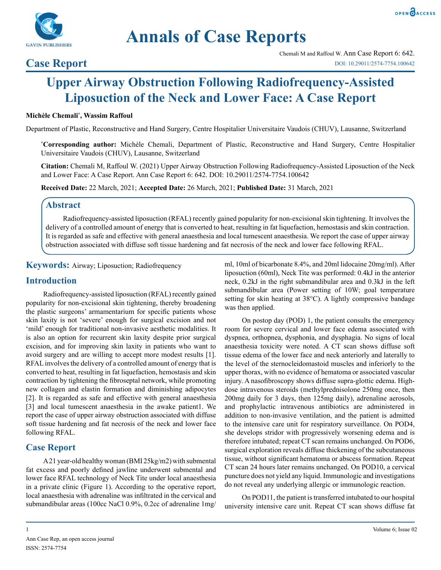



# **Annals of Case Reports**

### **Case Report**

## **Upper Airway Obstruction Following Radiofrequency-Assisted Liposuction of the Neck and Lower Face: A Case Report**

#### **Michèle Chemali\* , Wassim Raffoul**

Department of Plastic, Reconstructive and Hand Surgery, Centre Hospitalier Universitaire Vaudois (CHUV), Lausanne, Switzerland

**\* Corresponding author:** Michèle Chemali, Department of Plastic, Reconstructive and Hand Surgery, Centre Hospitalier Universitaire Vaudois (CHUV), Lausanne, Switzerland

**Citation:** Chemali M, Raffoul W. (2021) Upper Airway Obstruction Following Radiofrequency-Assisted Liposuction of the Neck and Lower Face: A Case Report. Ann Case Report 6: 642. DOI: 10.29011/2574-7754.100642

**Received Date:** 22 March, 2021; **Accepted Date:** 26 March, 2021; **Published Date:** 31 March, 2021

#### **Abstract**

Radiofrequency-assisted liposuction (RFAL) recently gained popularity for non-excisional skin tightening. It involves the delivery of a controlled amount of energy that is converted to heat, resulting in fat liquefaction, hemostasis and skin contraction. It is regarded as safe and effective with general anaesthesia and local tumescent anaesthesia. We report the case of upper airway obstruction associated with diffuse soft tissue hardening and fat necrosis of the neck and lower face following RFAL.

**Keywords:** Airway; Liposuction; Radiofrequency

#### **Introduction**

Radiofrequency-assisted liposuction (RFAL) recently gained popularity for non-excisional skin tightening, thereby broadening the plastic surgeons' armamentarium for specific patients whose skin laxity is not 'severe' enough for surgical excision and not 'mild' enough for traditional non-invasive aesthetic modalities. It is also an option for recurrent skin laxity despite prior surgical excision, and for improving skin laxity in patients who want to avoid surgery and are willing to accept more modest results [1]. RFAL involves the delivery of a controlled amount of energy that is converted to heat, resulting in fat liquefaction, hemostasis and skin contraction by tightening the fibroseptal network, while promoting new collagen and elastin formation and diminishing adipocytes [2]. It is regarded as safe and effective with general anaesthesia [3] and local tumescent anaesthesia in the awake patient1. We report the case of upper airway obstruction associated with diffuse soft tissue hardening and fat necrosis of the neck and lower face following RFAL.

#### **Case Report**

A 21 year-old healthy woman (BMI 25kg/m2) with submental fat excess and poorly defined jawline underwent submental and lower face RFAL technology of Neck Tite under local anaesthesia in a private clinic (Figure 1). According to the operative report, local anaesthesia with adrenaline was infiltrated in the cervical and submandibular areas (100cc NaCl 0.9%, 0.2cc of adrenaline 1mg/

ml, 10ml of bicarbonate 8.4%, and 20ml lidocaine 20mg/ml). After liposuction (60ml), Neck Tite was performed: 0.4kJ in the anterior neck, 0.2kJ in the right submandibular area and 0.3kJ in the left submandibular area (Power setting of 10W; goal temperature setting for skin heating at 38°C). A lightly compressive bandage was then applied.

On postop day (POD) 1, the patient consults the emergency room for severe cervical and lower face edema associated with dyspnea, orthopnea, dysphonia, and dysphagia. No signs of local anaesthesia toxicity were noted. A CT scan shows diffuse soft tissue edema of the lower face and neck anteriorly and laterally to the level of the sternocleidomastoid muscles and inferiorly to the upper thorax, with no evidence of hematoma or associated vascular injury. A nasofibroscopy shows diffuse supra-glottic edema. Highdose intravenous steroids (methylprednisolone 250mg once, then 200mg daily for 3 days, then 125mg daily), adrenaline aerosols, and prophylactic intravenous antibiotics are administered in addition to non-invasive ventilation, and the patient is admitted to the intensive care unit for respiratory surveillance. On POD4, she develops stridor with progressively worsening edema and is therefore intubated; repeat CT scan remains unchanged. On POD6, surgical exploration reveals diffuse thickening of the subcutaneous tissue, without significant hematoma or abscess formation. Repeat CT scan 24 hours later remains unchanged. On POD10, a cervical puncture does not yield any liquid. Immunologic and investigations do not reveal any underlying allergic or immunologic reaction.

On POD11, the patient is transferred intubated to our hospital university intensive care unit. Repeat CT scan shows diffuse fat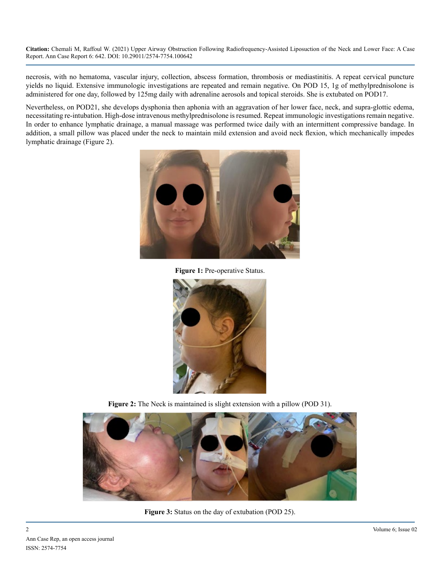**Citation:** Chemali M, Raffoul W. (2021) Upper Airway Obstruction Following Radiofrequency-Assisted Liposuction of the Neck and Lower Face: A Case Report. Ann Case Report 6: 642. DOI: 10.29011/2574-7754.100642

necrosis, with no hematoma, vascular injury, collection, abscess formation, thrombosis or mediastinitis. A repeat cervical puncture yields no liquid. Extensive immunologic investigations are repeated and remain negative. On POD 15, 1g of methylprednisolone is administered for one day, followed by 125mg daily with adrenaline aerosols and topical steroids. She is extubated on POD17.

Nevertheless, on POD21, she develops dysphonia then aphonia with an aggravation of her lower face, neck, and supra-glottic edema, necessitating re-intubation. High-dose intravenous methylprednisolone is resumed. Repeat immunologic investigations remain negative. In order to enhance lymphatic drainage, a manual massage was performed twice daily with an intermittent compressive bandage. In addition, a small pillow was placed under the neck to maintain mild extension and avoid neck flexion, which mechanically impedes lymphatic drainage (Figure 2).



**Figure 1:** Pre-operative Status.



**Figure 2:** The Neck is maintained is slight extension with a pillow (POD 31).



**Figure 3:** Status on the day of extubation (POD 25).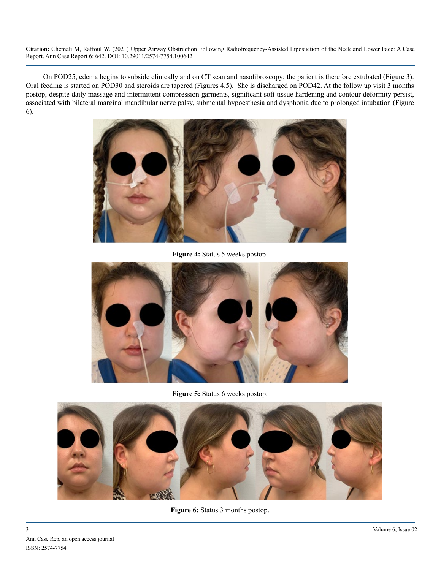**Citation:** Chemali M, Raffoul W. (2021) Upper Airway Obstruction Following Radiofrequency-Assisted Liposuction of the Neck and Lower Face: A Case Report. Ann Case Report 6: 642. DOI: 10.29011/2574-7754.100642

On POD25, edema begins to subside clinically and on CT scan and nasofibroscopy; the patient is therefore extubated (Figure 3). Oral feeding is started on POD30 and steroids are tapered (Figures 4,5). She is discharged on POD42. At the follow up visit 3 months postop, despite daily massage and intermittent compression garments, significant soft tissue hardening and contour deformity persist, associated with bilateral marginal mandibular nerve palsy, submental hypoesthesia and dysphonia due to prolonged intubation (Figure 6).



**Figure 4:** Status 5 weeks postop.



**Figure 5:** Status 6 weeks postop.



**Figure 6:** Status 3 months postop.